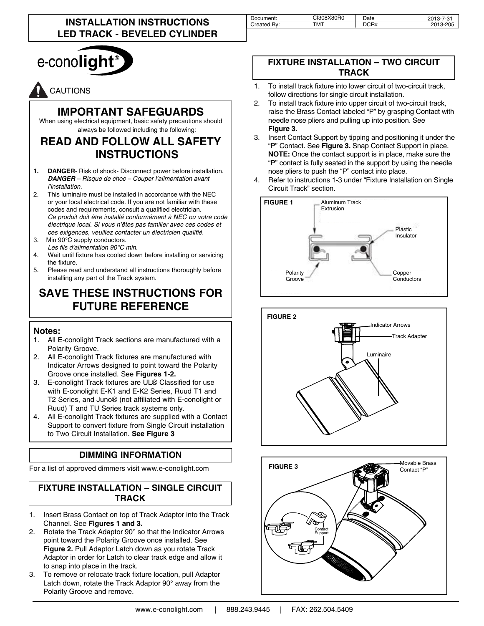| Document:      | <b>CI308X80R0</b> | Date | ، ق- ۲<br>-ت |
|----------------|-------------------|------|--------------|
| Bv:<br>`reated | <b>TMT</b>        | `R#  | .            |
|                |                   |      |              |



# CAUTIONS

## **IMPORTANT SAFEGUARDS**

When using electrical equipment, basic safety precautions should always be followed including the following:

## **READ AND FOLLOW ALL SAFETY INSTRUCTIONS**

- **1. DANGER** Risk of shock- Disconnect power before installation. *DANGER – Risque de choc – Couper l'alimentation avant l'installation.*
- 2. This luminaire must be installed in accordance with the NEC or your local electrical code. If you are not familiar with these codes and requirements, consult a qualified electrician. *Ce produit doit être installé conformément à NEC ou votre code électrique local. Si vous n'êtes pas familier avec ces codes et*  ces exigences, veuillez contacter un électricien qualifié.
- 3. Min 90°C supply conductors. *Les fils d'alimentation 90°C min.*
- 4. Wait until fixture has cooled down before installing or servicing the fixture.
- 5. Please read and understand all instructions thoroughly before installing any part of the Track system.

# **SAVE THESE INSTRUCTIONS FOR FUTURE REFERENCE**

#### **Notes:**

- 1. All E-conolight Track sections are manufactured with a Polarity Groove.
- 2. All E-conolight Track fixtures are manufactured with Indicator Arrows designed to point toward the Polarity Groove once installed. See **Figures 1-2.**
- 3. E-conolight Track fixtures are UL® Classified for use with E-conolight E-K1 and E-K2 Series, Ruud T1 and T2 Series, and Juno® (not affiliated with E-conolight or Ruud) T and TU Series track systems only.
- 4. All E-conolight Track fixtures are supplied with a Contact Support to convert fixture from Single Circuit installation to Two Circuit Installation. **See Figure 3**

#### **DIMMING INFORMATION**

For a list of approved dimmers visit www.e-conolight.com

### **FIXTURE INSTALLATION – SINGLE CIRCUIT TRACK**

- 1. Insert Brass Contact on top of Track Adaptor into the Track Channel. See **Figures 1 and 3.**
- 2. Rotate the Track Adaptor 90° so that the Indicator Arrows point toward the Polarity Groove once installed. See **Figure 2.** Pull Adaptor Latch down as you rotate Track Adaptor in order for Latch to clear track edge and allow it to snap into place in the track.
- 3. To remove or relocate track fixture location, pull Adaptor Latch down, rotate the Track Adaptor 90° away from the Polarity Groove and remove.

#### **FIXTURE INSTALLATION – TWO CIRCUIT TRACK**

- 1. To install track fixture into lower circuit of two-circuit track, follow directions for single circuit installation.
- 2. To install track fixture into upper circuit of two-circuit track, raise the Brass Contact labeled "P" by grasping Contact with needle nose pliers and pulling up into position. See **Figure 3.**
- Insert Contact Support by tipping and positioning it under the "P" Contact. See **Figure 3.** Snap Contact Support in place. **NOTE:** Once the contact support is in place, make sure the "P" contact is fully seated in the support by using the needle nose pliers to push the "P" contact into place.
- 4. Refer to instructions 1-3 under "Fixture Installation on Single Circuit Track" section.